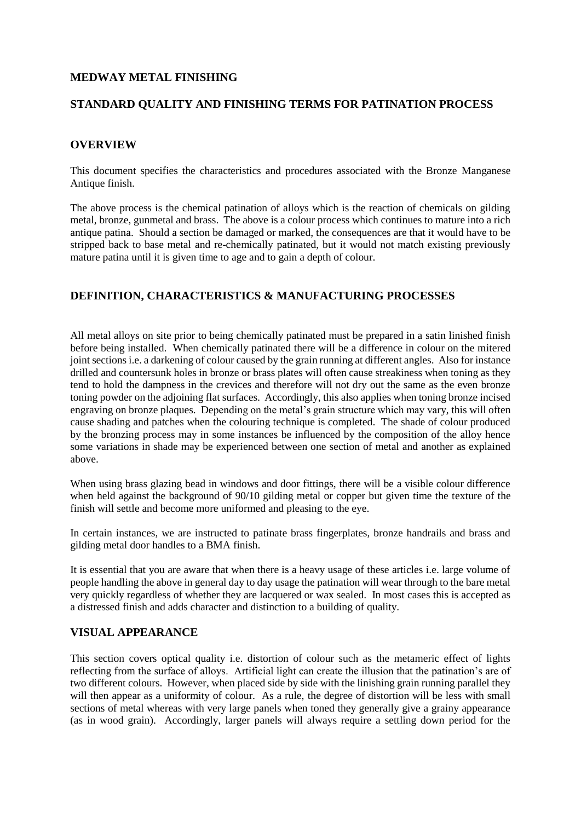## **MEDWAY METAL FINISHING**

### **STANDARD QUALITY AND FINISHING TERMS FOR PATINATION PROCESS**

## **OVERVIEW**

This document specifies the characteristics and procedures associated with the Bronze Manganese Antique finish.

The above process is the chemical patination of alloys which is the reaction of chemicals on gilding metal, bronze, gunmetal and brass. The above is a colour process which continues to mature into a rich antique patina. Should a section be damaged or marked, the consequences are that it would have to be stripped back to base metal and re-chemically patinated, but it would not match existing previously mature patina until it is given time to age and to gain a depth of colour.

# **DEFINITION, CHARACTERISTICS & MANUFACTURING PROCESSES**

All metal alloys on site prior to being chemically patinated must be prepared in a satin linished finish before being installed. When chemically patinated there will be a difference in colour on the mitered joint sections i.e. a darkening of colour caused by the grain running at different angles. Also for instance drilled and countersunk holes in bronze or brass plates will often cause streakiness when toning as they tend to hold the dampness in the crevices and therefore will not dry out the same as the even bronze toning powder on the adjoining flat surfaces. Accordingly, this also applies when toning bronze incised engraving on bronze plaques. Depending on the metal's grain structure which may vary, this will often cause shading and patches when the colouring technique is completed. The shade of colour produced by the bronzing process may in some instances be influenced by the composition of the alloy hence some variations in shade may be experienced between one section of metal and another as explained above.

When using brass glazing bead in windows and door fittings, there will be a visible colour difference when held against the background of 90/10 gilding metal or copper but given time the texture of the finish will settle and become more uniformed and pleasing to the eye.

In certain instances, we are instructed to patinate brass fingerplates, bronze handrails and brass and gilding metal door handles to a BMA finish.

It is essential that you are aware that when there is a heavy usage of these articles i.e. large volume of people handling the above in general day to day usage the patination will wear through to the bare metal very quickly regardless of whether they are lacquered or wax sealed. In most cases this is accepted as a distressed finish and adds character and distinction to a building of quality.

# **VISUAL APPEARANCE**

This section covers optical quality i.e. distortion of colour such as the metameric effect of lights reflecting from the surface of alloys. Artificial light can create the illusion that the patination's are of two different colours. However, when placed side by side with the linishing grain running parallel they will then appear as a uniformity of colour. As a rule, the degree of distortion will be less with small sections of metal whereas with very large panels when toned they generally give a grainy appearance (as in wood grain). Accordingly, larger panels will always require a settling down period for the